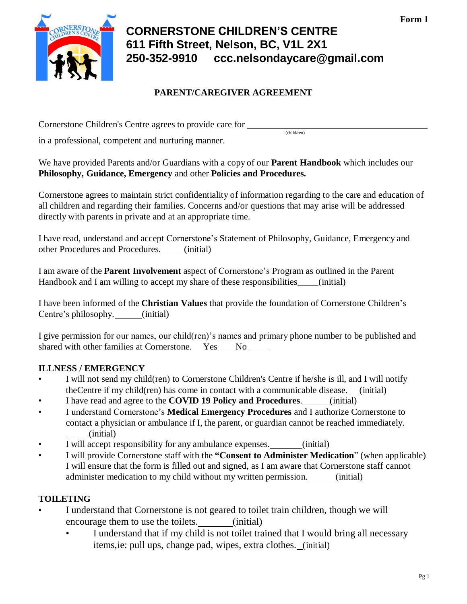

# **CORNERSTONE CHILDREN'S CENTRE 611 Fifth Street, Nelson, BC, V1L 2X1 250-352-9910 [ccc.nelsondaycare@gmail.com](mailto:ccc.nelsondaycare@gmail.com)**

(child/ren)

## **PARENT/CAREGIVER AGREEMENT**

Cornerstone Children's Centre agrees to provide care for

in a professional, competent and nurturing manner.

We have provided Parents and/or Guardians with a copy of our **Parent Handbook** which includes our **Philosophy, Guidance, Emergency** and other **Policies and Procedures.**

Cornerstone agrees to maintain strict confidentiality of information regarding to the care and education of all children and regarding their families. Concerns and/or questions that may arise will be addressed directly with parents in private and at an appropriate time.

I have read, understand and accept Cornerstone's Statement of Philosophy, Guidance, Emergency and other Procedures and Procedures. (initial)

I am aware of the **Parent Involvement** aspect of Cornerstone's Program as outlined in the Parent Handbook and I am willing to accept my share of these responsibilities (initial)

I have been informed of the **Christian Values** that provide the foundation of Cornerstone Children's Centre's philosophy. (initial)

I give permission for our names, our child(ren)'s names and primary phone number to be published and shared with other families at Cornerstone. Yes No

## **ILLNESS / EMERGENCY**

- I will not send my child(ren) to Cornerstone Children's Centre if he/she is ill, and I will notify theCentre if my child(ren) has come in contact with a communicable disease. (initial)
- I have read and agree to the **COVID 19 Policy and Procedures**. (initial)
- I understand Cornerstone's **Medical Emergency Procedures** and I authorize Cornerstone to contact a physician or ambulance if I, the parent, or guardian cannot be reached immediately. (initial)
- I will accept responsibility for any ambulance expenses. \_\_\_\_\_\_(initial)
- I will provide Cornerstone staff with the **"Consent to Administer Medication**" (when applicable) I will ensure that the form is filled out and signed, as I am aware that Cornerstone staff cannot administer medication to my child without my written permission. (initial)

## **TOILETING**

- I understand that Cornerstone is not geared to toilet train children, though we will encourage them to use the toilets. (initial)
	- I understand that if my child is not toilet trained that I would bring all necessary items,ie: pull ups, change pad, wipes, extra clothes. (initial)